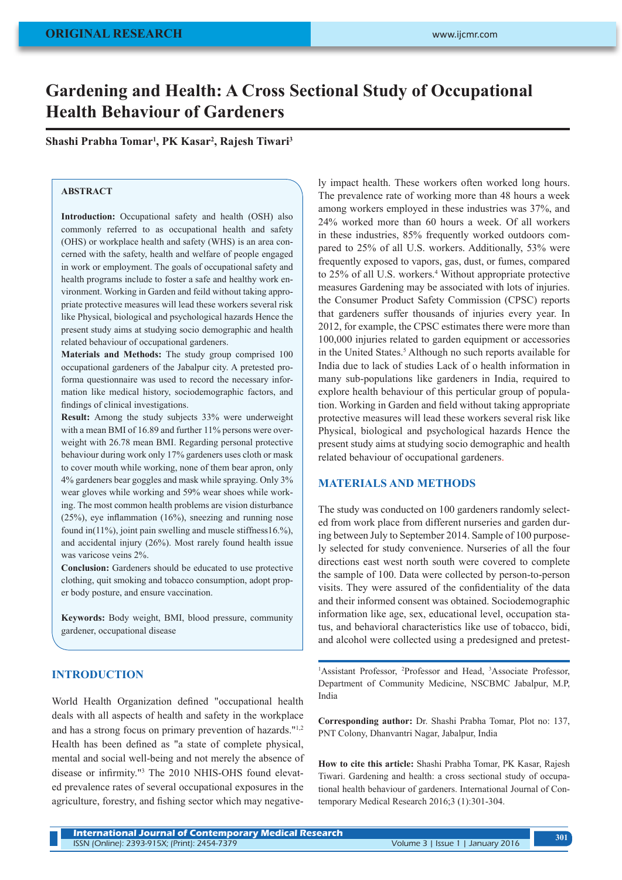# **Gardening and Health: A Cross Sectional Study of Occupational Health Behaviour of Gardeners**

**Shashi Prabha Tomar1 , PK Kasar2 , Rajesh Tiwari3**

## **ABSTRACT**

**Introduction:** Occupational safety and health (OSH) also commonly referred to as occupational health and safety (OHS) or workplace health and safety (WHS) is an area concerned with the safety, health and welfare of people engaged in work or employment. The goals of occupational safety and health programs include to foster a safe and healthy work environment. Working in Garden and feild without taking appropriate protective measures will lead these workers several risk like Physical, biological and psychological hazards Hence the present study aims at studying socio demographic and health related behaviour of occupational gardeners.

**Materials and Methods:** The study group comprised 100 occupational gardeners of the Jabalpur city. A pretested proforma questionnaire was used to record the necessary information like medical history, sociodemographic factors, and findings of clinical investigations.

**Result:** Among the study subjects 33% were underweight with a mean BMI of 16.89 and further 11% persons were overweight with 26.78 mean BMI. Regarding personal protective behaviour during work only 17% gardeners uses cloth or mask to cover mouth while working, none of them bear apron, only 4% gardeners bear goggles and mask while spraying. Only 3% wear gloves while working and 59% wear shoes while working. The most common health problems are vision disturbance (25%), eye inflammation (16%), sneezing and running nose found in(11%), joint pain swelling and muscle stiffness16.%), and accidental injury (26%). Most rarely found health issue was varicose veins 2%.

**Conclusion:** Gardeners should be educated to use protective clothing, quit smoking and tobacco consumption, adopt proper body posture, and ensure vaccination.

**Keywords:** Body weight, BMI, blood pressure, community gardener, occupational disease

## **INTRODUCTION**

World Health Organization defined "occupational health deals with all aspects of health and safety in the workplace and has a strong focus on primary prevention of hazards."1,2 Health has been defined as "a state of complete physical, mental and social well-being and not merely the absence of disease or infirmity."<sup>3</sup> The 2010 NHIS-OHS found elevated prevalence rates of several occupational exposures in the agriculture, forestry, and fishing sector which may negatively impact health. These workers often worked long hours. The prevalence rate of working more than 48 hours a week among workers employed in these industries was 37%, and 24% worked more than 60 hours a week. Of all workers in these industries, 85% frequently worked outdoors compared to 25% of all U.S. workers. Additionally, 53% were frequently exposed to vapors, gas, dust, or fumes, compared to 25% of all U.S. workers.<sup>4</sup> Without appropriate protective measures Gardening may be associated with lots of injuries. the Consumer Product Safety Commission (CPSC) reports that gardeners suffer thousands of injuries every year. In 2012, for example, the CPSC estimates there were more than 100,000 injuries related to garden equipment or accessories in the United States.<sup>5</sup> Although no such reports available for India due to lack of studies Lack of o health information in many sub-populations like gardeners in India, required to explore health behaviour of this perticular group of population. Working in Garden and field without taking appropriate protective measures will lead these workers several risk like Physical, biological and psychological hazards Hence the present study aims at studying socio demographic and health related behaviour of occupational gardeners.

#### **MATERIALS AND METHODS**

The study was conducted on 100 gardeners randomly selected from work place from different nurseries and garden during between July to September 2014. Sample of 100 purposely selected for study convenience. Nurseries of all the four directions east west north south were covered to complete the sample of 100. Data were collected by person-to-person visits. They were assured of the confidentiality of the data and their informed consent was obtained. Sociodemographic information like age, sex, educational level, occupation status, and behavioral characteristics like use of tobacco, bidi, and alcohol were collected using a predesigned and pretest-

<sup>1</sup>Assistant Professor, <sup>2</sup>Professor and Head, <sup>3</sup>Associate Professor, Department of Community Medicine, NSCBMC Jabalpur, M.P, India

**Corresponding author:** Dr. Shashi Prabha Tomar, Plot no: 137, PNT Colony, Dhanvantri Nagar, Jabalpur, India

**How to cite this article:** Shashi Prabha Tomar, PK Kasar, Rajesh Tiwari. Gardening and health: a cross sectional study of occupational health behaviour of gardeners. International Journal of Contemporary Medical Research 2016;3 (1):301-304.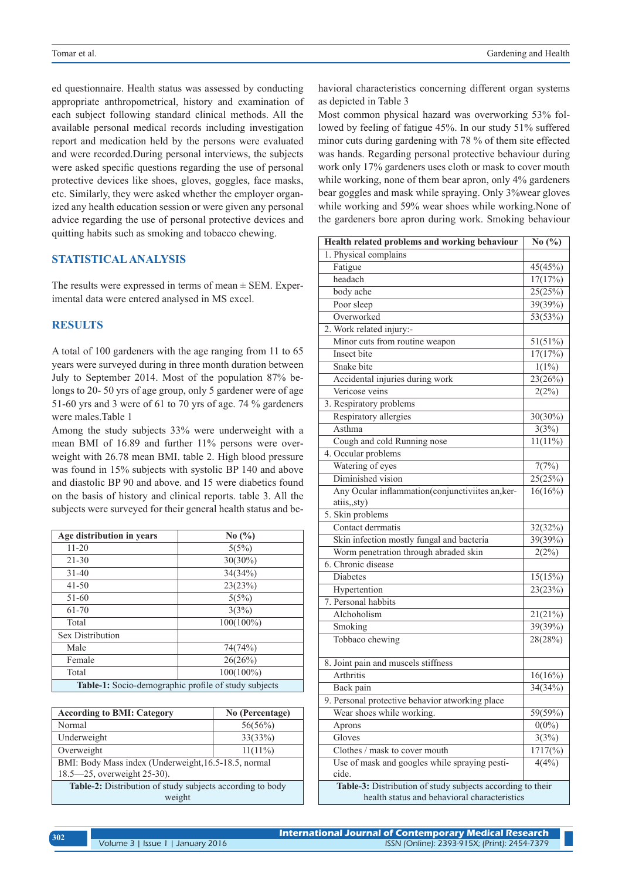ed questionnaire. Health status was assessed by conducting appropriate anthropometrical, history and examination of each subject following standard clinical methods. All the available personal medical records including investigation report and medication held by the persons were evaluated and were recorded.During personal interviews, the subjects were asked specific questions regarding the use of personal protective devices like shoes, gloves, goggles, face masks, etc. Similarly, they were asked whether the employer organized any health education session or were given any personal advice regarding the use of personal protective devices and quitting habits such as smoking and tobacco chewing.

# **STATISTICAL ANALYSIS**

The results were expressed in terms of mean  $\pm$  SEM. Experimental data were entered analysed in MS excel.

#### **RESULTS**

A total of 100 gardeners with the age ranging from 11 to 65 years were surveyed during in three month duration between July to September 2014. Most of the population 87% belongs to 20- 50 yrs of age group, only 5 gardener were of age 51-60 yrs and 3 were of 61 to 70 yrs of age. 74 % gardeners were males.Table 1

Among the study subjects 33% were underweight with a mean BMI of 16.89 and further 11% persons were overweight with 26.78 mean BMI. table 2. High blood pressure was found in 15% subjects with systolic BP 140 and above and diastolic BP 90 and above. and 15 were diabetics found on the basis of history and clinical reports. table 3. All the subjects were surveyed for their general health status and be-

| Age distribution in years                            | No $\left(\frac{9}{6}\right)$ |  |
|------------------------------------------------------|-------------------------------|--|
| $11 - 20$                                            | 5(5%)                         |  |
| $21 - 30$                                            | $30(30\%)$                    |  |
| $31 - 40$                                            | 34(34%)                       |  |
| $41 - 50$                                            | 23(23%)                       |  |
| $51-60$                                              | 5(5%)                         |  |
| $61 - 70$                                            | 3(3%)                         |  |
| Total                                                | $100(100\%)$                  |  |
| <b>Sex Distribution</b>                              |                               |  |
| Male                                                 | 74(74%)                       |  |
| Female                                               | 26(26%)                       |  |
| Total                                                | $100(100\%)$                  |  |
| Table-1: Socio-demographic profile of study subjects |                               |  |

| <b>According to BMI: Category</b>                         | No (Percentage) |  |
|-----------------------------------------------------------|-----------------|--|
| Normal                                                    | 56(56%)         |  |
| Underweight                                               | 33(33%)         |  |
| Overweight                                                | $11(11\%)$      |  |
| BMI: Body Mass index (Underweight, 16.5-18.5, normal      |                 |  |
| 18.5–25, overweight 25-30).                               |                 |  |
| Table-2: Distribution of study subjects according to body |                 |  |
| weight                                                    |                 |  |

havioral characteristics concerning different organ systems as depicted in Table 3

Most common physical hazard was overworking 53% followed by feeling of fatigue 45%. In our study 51% suffered minor cuts during gardening with 78 % of them site effected was hands. Regarding personal protective behaviour during work only 17% gardeners uses cloth or mask to cover mouth while working, none of them bear apron, only 4% gardeners bear goggles and mask while spraying. Only 3%wear gloves while working and 59% wear shoes while working.None of the gardeners bore apron during work. Smoking behaviour

| Health related problems and working behaviour              | No $(\% )$            |  |
|------------------------------------------------------------|-----------------------|--|
| 1. Physical complains                                      |                       |  |
| Fatigue                                                    | 45(45%)               |  |
| headach                                                    | 17(17%)               |  |
| body ache                                                  | 25(25%)               |  |
| Poor sleep                                                 | 39(39%)               |  |
| Overworked                                                 | 53(53%)               |  |
| 2. Work related injury:-                                   |                       |  |
| Minor cuts from routine weapon                             | 51(51%)               |  |
| Insect bite                                                | 17(17%)               |  |
| Snake bite                                                 | $1(1\%)$              |  |
| Accidental injuries during work                            | 23(26%)               |  |
| Vericose veins                                             | 2(2%)                 |  |
| 3. Respiratory problems                                    |                       |  |
| Respiratory allergies                                      | 30(30%)               |  |
| Asthma                                                     | 3(3%)                 |  |
| Cough and cold Running nose                                | $11(11\%)$            |  |
| 4. Occular problems                                        |                       |  |
| Watering of eyes                                           | 7(7%)                 |  |
| Diminished vision                                          | 25(25%)               |  |
| Any Ocular inflammation(conjunctiviites an, ker-           | $\overline{16(16\%)}$ |  |
| atiis,,sty)                                                |                       |  |
| 5. Skin problems                                           |                       |  |
| Contact derrmatis                                          | 32(32%)               |  |
| Skin infection mostly fungal and bacteria                  | 39(39%)               |  |
| Worm penetration through abraded skin                      | 2(2%)                 |  |
| 6. Chronic disease                                         |                       |  |
| Diabetes                                                   | 15(15%)               |  |
| Hypertention                                               | 23(23%)               |  |
| 7. Personal habbits                                        |                       |  |
| Alchoholism                                                | 21(21%)               |  |
| Smoking                                                    | 39(39%)               |  |
| Tobbaco chewing                                            | 28(28%)               |  |
|                                                            |                       |  |
| 8. Joint pain and muscels stiffness                        |                       |  |
| Arthritis                                                  | 16(16%)               |  |
| Back pain                                                  | 34(34%)               |  |
| 9. Personal protective behavior atworking place            |                       |  |
| Wear shoes while working.                                  | $59(59\%)$            |  |
| Aprons                                                     | $0(0\%)$              |  |
| Gloves                                                     | 3(3%)                 |  |
| Clothes / mask to cover mouth                              | $1717\frac{6}{9}$     |  |
| Use of mask and googles while spraying pesti-              | 4(4%)                 |  |
| cide.                                                      |                       |  |
| Table-3: Distribution of study subjects according to their |                       |  |
| health status and behavioral characteristics               |                       |  |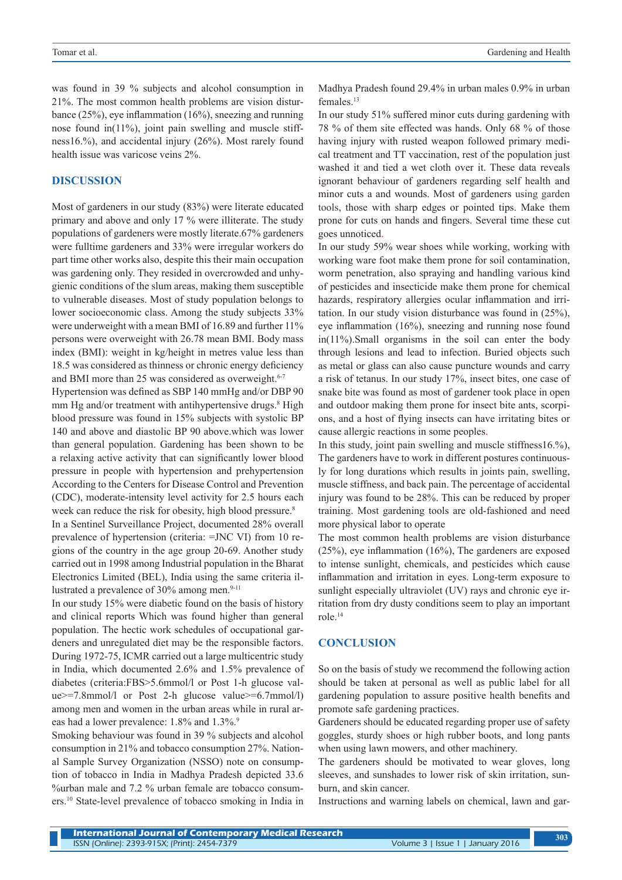was found in 39 % subjects and alcohol consumption in 21%. The most common health problems are vision disturbance (25%), eye inflammation (16%), sneezing and running nose found in(11%), joint pain swelling and muscle stiffness16.%), and accidental injury (26%). Most rarely found health issue was varicose veins 2%.

## **DISCUSSION**

Most of gardeners in our study (83%) were literate educated primary and above and only 17 % were illiterate. The study populations of gardeners were mostly literate.67% gardeners were fulltime gardeners and 33% were irregular workers do part time other works also, despite this their main occupation was gardening only. They resided in overcrowded and unhygienic conditions of the slum areas, making them susceptible to vulnerable diseases. Most of study population belongs to lower socioeconomic class. Among the study subjects 33% were underweight with a mean BMI of 16.89 and further 11% persons were overweight with 26.78 mean BMI. Body mass index (BMI): weight in kg/height in metres value less than 18.5 was considered as thinness or chronic energy deficiency and BMI more than 25 was considered as overweight.<sup>6-7</sup>

Hypertension was defined as SBP 140 mmHg and/or DBP 90 mm Hg and/or treatment with antihypertensive drugs.<sup>8</sup> High blood pressure was found in 15% subjects with systolic BP 140 and above and diastolic BP 90 above.which was lower than general population. Gardening has been shown to be a relaxing active activity that can significantly lower blood pressure in people with hypertension and prehypertension According to the Centers for Disease Control and Prevention (CDC), moderate-intensity level activity for 2.5 hours each week can reduce the risk for obesity, high blood pressure.<sup>8</sup>

In a Sentinel Surveillance Project, documented 28% overall prevalence of hypertension (criteria: =JNC VI) from 10 regions of the country in the age group 20-69. Another study carried out in 1998 among Industrial population in the Bharat Electronics Limited (BEL), India using the same criteria illustrated a prevalence of 30% among men.<sup>9-11</sup>

In our study 15% were diabetic found on the basis of history and clinical reports Which was found higher than general population. The hectic work schedules of occupational gardeners and unregulated diet may be the responsible factors. During 1972-75, ICMR carried out a large multicentric study in India, which documented 2.6% and 1.5% prevalence of diabetes (criteria:FBS>5.6mmol/l or Post 1-h glucose value>=7.8mmol/l or Post 2-h glucose value>=6.7mmol/l) among men and women in the urban areas while in rural areas had a lower prevalence: 1.8% and 1.3%.<sup>9</sup>

Smoking behaviour was found in 39 % subjects and alcohol consumption in 21% and tobacco consumption 27%. National Sample Survey Organization (NSSO) note on consumption of tobacco in India in Madhya Pradesh depicted 33.6 %urban male and 7.2 % urban female are tobacco consumers.10 State-level prevalence of tobacco smoking in India in Madhya Pradesh found 29.4% in urban males 0.9% in urban females.13

In our study 51% suffered minor cuts during gardening with 78 % of them site effected was hands. Only 68 % of those having injury with rusted weapon followed primary medical treatment and TT vaccination, rest of the population just washed it and tied a wet cloth over it. These data reveals ignorant behaviour of gardeners regarding self health and minor cuts a and wounds. Most of gardeners using garden tools, those with sharp edges or pointed tips. Make them prone for cuts on hands and fingers. Several time these cut goes unnoticed.

In our study 59% wear shoes while working, working with working ware foot make them prone for soil contamination, worm penetration, also spraying and handling various kind of pesticides and insecticide make them prone for chemical hazards, respiratory allergies ocular inflammation and irritation. In our study vision disturbance was found in (25%), eye inflammation (16%), sneezing and running nose found in(11%).Small organisms in the soil can enter the body through lesions and lead to infection. Buried objects such as metal or glass can also cause puncture wounds and carry a risk of tetanus. In our study 17%, insect bites, one case of snake bite was found as most of gardener took place in open and outdoor making them prone for insect bite ants, scorpions, and a host of flying insects can have irritating bites or cause allergic reactions in some peoples.

In this study, joint pain swelling and muscle stiffness16.%), The gardeners have to work in different postures continuously for long durations which results in joints pain, swelling, muscle stiffness, and back pain. The percentage of accidental injury was found to be 28%. This can be reduced by proper training. Most gardening tools are old-fashioned and need more physical labor to operate

The most common health problems are vision disturbance (25%), eye inflammation (16%), The gardeners are exposed to intense sunlight, chemicals, and pesticides which cause inflammation and irritation in eyes. Long-term exposure to sunlight especially ultraviolet (UV) rays and chronic eye irritation from dry dusty conditions seem to play an important role.14

#### **CONCLUSION**

So on the basis of study we recommend the following action should be taken at personal as well as public label for all gardening population to assure positive health benefits and promote safe gardening practices.

Gardeners should be educated regarding proper use of safety goggles, sturdy shoes or high rubber boots, and long pants when using lawn mowers, and other machinery.

The gardeners should be motivated to wear gloves, long sleeves, and sunshades to lower risk of skin irritation, sunburn, and skin cancer.

Instructions and warning labels on chemical, lawn and gar-